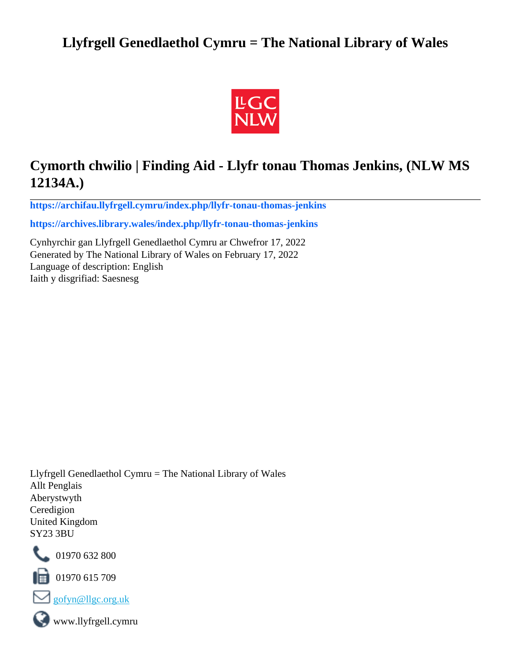## **Llyfrgell Genedlaethol Cymru = The National Library of Wales**



# **Cymorth chwilio | Finding Aid - Llyfr tonau Thomas Jenkins, (NLW MS 12134A.)**

**[https://archifau.llyfrgell.cymru/index.php/llyfr-tonau-thomas-jenkins](https://archifau.llyfrgell.cymru/index.php/llyfr-tonau-thomas-jenkins;isad?sf_culture=cy)**

**[https://archives.library.wales/index.php/llyfr-tonau-thomas-jenkins](https://archives.library.wales/index.php/llyfr-tonau-thomas-jenkins;isad?sf_culture=en)**

Cynhyrchir gan Llyfrgell Genedlaethol Cymru ar Chwefror 17, 2022 Generated by The National Library of Wales on February 17, 2022 Language of description: English Iaith y disgrifiad: Saesnesg

Llyfrgell Genedlaethol Cymru = The National Library of Wales Allt Penglais Aberystwyth Ceredigion United Kingdom SY23 3BU



101970 632 800

 $\blacksquare$  01970 615 709



www.llyfrgell.cymru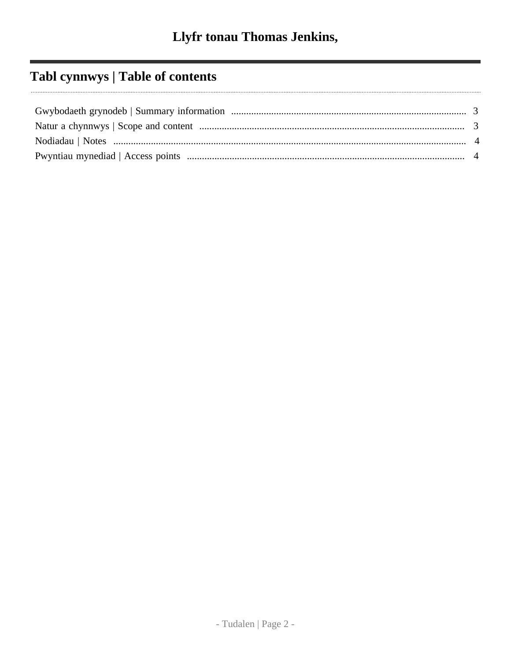# Tabl cynnwys | Table of contents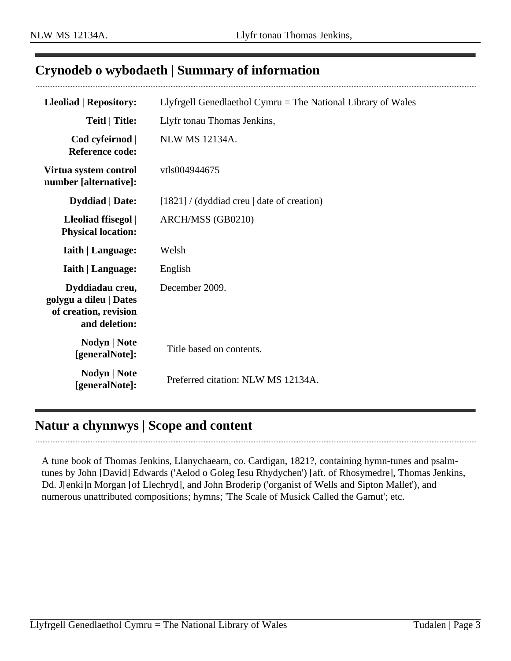### <span id="page-2-0"></span>**Crynodeb o wybodaeth | Summary of information**

| <b>Lleoliad   Repository:</b>                                                       | Llyfrgell Genedlaethol Cymru $=$ The National Library of Wales |
|-------------------------------------------------------------------------------------|----------------------------------------------------------------|
| <b>Teitl   Title:</b>                                                               | Llyfr tonau Thomas Jenkins,                                    |
| Cod cyfeirnod  <br><b>Reference code:</b>                                           | <b>NLW MS 12134A.</b>                                          |
| Virtua system control<br>number [alternative]:                                      | vtls004944675                                                  |
| <b>Dyddiad</b>   Date:                                                              | $[1821]$ / (dyddiad creu   date of creation)                   |
| Lleoliad ffisegol  <br><b>Physical location:</b>                                    | ARCH/MSS (GB0210)                                              |
| <b>Iaith   Language:</b>                                                            | Welsh                                                          |
| <b>Iaith   Language:</b>                                                            | English                                                        |
| Dyddiadau creu,<br>golygu a dileu   Dates<br>of creation, revision<br>and deletion: | December 2009.                                                 |
| Nodyn   Note<br>[generalNote]:                                                      | Title based on contents.                                       |
| Nodyn   Note<br>[generalNote]:                                                      | Preferred citation: NLW MS 12134A.                             |

### <span id="page-2-1"></span>**Natur a chynnwys | Scope and content**

A tune book of Thomas Jenkins, Llanychaearn, co. Cardigan, 1821?, containing hymn-tunes and psalmtunes by John [David] Edwards ('Aelod o Goleg Iesu Rhydychen') [aft. of Rhosymedre], Thomas Jenkins, Dd. J[enki]n Morgan [of Llechryd], and John Broderip ('organist of Wells and Sipton Mallet'), and numerous unattributed compositions; hymns; 'The Scale of Musick Called the Gamut'; etc.